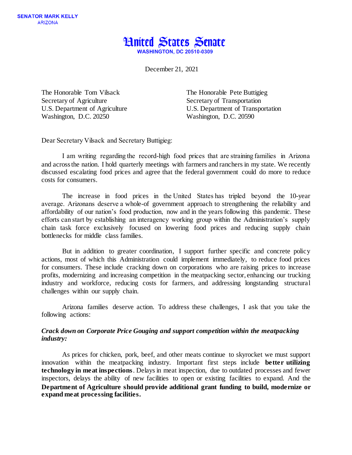

December 21, 2021

Secretary of Agriculture Secretary of Transportation Washington, D.C. 20250 Washington, D.C. 20590

The Honorable Tom Vilsack The Honorable Pete Buttigieg U.S. Department of Agriculture U.S. Department of Transportation

Dear Secretary Vilsack and Secretary Buttigieg:  

I am writing regarding the record-high food prices that are straining families in Arizona and across the nation. I hold quarterly meetings with farmers and ranchers in my state. We recently discussed escalating food prices and agree that the federal government could do more to reduce costs for consumers.

The increase in food prices in the United States has tripled beyond the 10-year average.  Arizonans deserve a whole-of government approach to strengthening the reliability and affordability of our nation's food production, now and in the years following this pandemic. These efforts can start by establishing an interagency working group within the Administration's supply chain task force exclusively focused on lowering food prices and reducing supply chain bottlenecks for middle class families.

But in addition to greater coordination, I support further specific and concrete policy actions, most of which this Administration could implement immediately, to reduce food prices for consumers. These include cracking down on corporations who are raising prices to increase profits, modernizing and increasing competition in the meatpacking sector, enhancing our trucking industry and workforce, reducing costs for farmers, and addressing longstanding structural challenges within our supply chain.

Arizona families deserve action. To address these challenges, I ask that you take the following actions:

# *Crack down on Corporate Price Gouging and support competition within the meatpacking industry:*

As prices for chicken, pork, beef, and other meats continue to skyrocket we must support innovation within the meatpacking industry. Important first steps include **better utilizing technology in meat inspections**. Delays in meat inspection, due to outdated processes and fewer inspectors, delays the ability of new facilities to open or existing facilities to expand. And the **Department of Agriculture should provide additional grant funding to build, modernize or expand meat processing facilities.**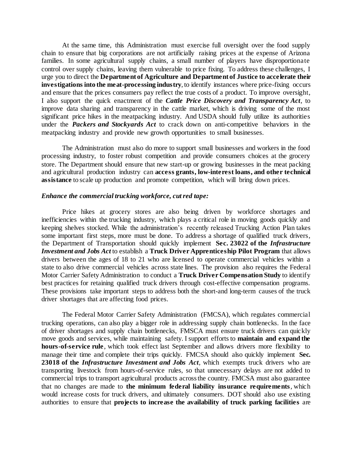At the same time, this Administration must exercise full oversight over the food supply chain to ensure that big corporations are not artificially raising prices at the expense of Arizona families. In some agricultural supply chains, a small number of players have disproportionate control over supply chains, leaving them vulnerable to price fixing. To address these challenges, I urge you to direct the **Department of Agriculture and Department of Justice to accelerate their investigations into the meat-processing industry**, to identify instances where price-fixing occurs and ensure that the prices consumers pay reflect the true costs of a product. To improve oversight, I also support the quick enactment of the *Cattle Price Discovery and Transparency Act*, to improve data sharing and transparency in the cattle market, which is driving some of the most significant price hikes in the meatpacking industry. And USDA should fully utilize its authorities under the *Packers and Stockyards Act* to crack down on anti-competitive behaviors in the meatpacking industry and provide new growth opportunities to small businesses.

The Administration must also do more to support small businesses and workers in the food processing industry, to foster robust competition and provide consumers choices at the grocery store. The Department should ensure that new start-up or growing businesses in the meat packing and agricultural production industry can **access grants, low-interest loans, and other technical assistance** to scale up production and promote competition, which will bring down prices.

## *Enhance the commercial trucking workforce, cut red tape:*

Price hikes at grocery stores are also being driven by workforce shortages and inefficiencies within the trucking industry, which plays a critical role in moving goods quickly and keeping shelves stocked. While the administration's recently released Trucking Action Plan takes some important first steps, more must be done. To address a shortage of qualified truck drivers, the Department of Transportation should quickly implement **Sec. 23022 of the** *Infrastructure Investment and Jobs Act* to establish a **Truck Driver Apprenticeship Pilot Program** that allows drivers between the ages of 18 to 21 who are licensed to operate commercial vehicles within a state to also drive commercial vehicles across state lines. The provision also requires the Federal Motor Carrier Safety Administration to conduct a **Truck Driver Compensation Study** to identify best practices for retaining qualified truck drivers through cost-effective compensation programs. These provisions take important steps to address both the short-and long-term causes of the truck driver shortages that are affecting food prices.

The Federal Motor Carrier Safety Administration (FMCSA), which regulates commercial trucking operations, can also play a bigger role in addressing supply chain bottlenecks. In the face of driver shortages and supply chain bottlenecks, FMSCA must ensure truck drivers can quickly move goods and services, while maintaining safety. I support efforts to **maintain and expand the hours-of-service rule**, which took effect last September and allows drivers more flexibility to manage their time and complete their trips quickly. FMCSA should also quickly implement **Sec.**  23018 of the *Infrastructure Investment and Jobs Act*, which exempts truck drivers who are transporting livestock from hours-of-service rules, so that unnecessary delays are not added to commercial trips to transport agricultural products across the country. FMCSA must also guarantee that no changes are made to **the minimum federal liability insurance requirements**, which would increase costs for truck drivers, and ultimately consumers. DOT should also use existing authorities to ensure that **projects to increase the availability of truck parking facilities** are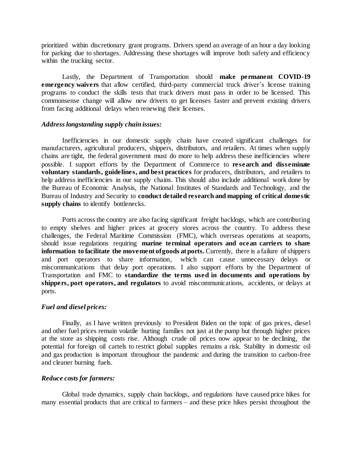prioritized within discretionary grant programs. Drivers spend an average of an hour a day looking for parking due to shortages. Addressing these shortages will improve both safety and efficiency within the trucking sector.

Lastly, the Department of Transportation should **make permanent COVID-19 emergency waivers** that allow certified, third-party commercial truck driver's license training programs to conduct the skills tests that truck drivers must pass in order to be licensed. This commonsense change will allow new drivers to get licenses faster and prevent existing drivers from facing additional delays when renewing their licenses.

## *Address longstanding supply chain issues:*

Inefficiencies in our domestic supply chain have created significant challenges for manufacturers, agricultural producers, shippers, distributors, and retailers. At times when supply chains are tight, the federal government must do more to help address these inefficiencies where possible. I support efforts by the Department of Commerce to **research and disseminate voluntary standards, guidelines, and best practices** for producers, distributors, and retailers to help address inefficiencies in our supply chains. This should also include additional work done by the Bureau of Economic Analysis, the National Institutes of Standards and Technology, and the Bureau of Industry and Security to **conduct detailed research and mapping of critical domestic supply chains** to identify bottlenecks.

Ports across the country are also facing significant freight backlogs, which are contributing to empty shelves and higher prices at grocery stores across the country. To address these challenges, the Federal Maritime Commission (FMC), which overseas operations at seaports, should issue regulations requiring **marine terminal operators and ocean carriers to share information to facilitate the movement of goods at ports.** Currently, there is a failure of shippers and port operators to share information, which can cause unnecessary delays or miscommunications that delay port operations. I also support efforts by the Department of Transportation and FMC to **standardize the terms used in documents and operations by shippers, port operators, and regulators** to avoid miscommunications, accidents, or delays at ports.

## *Fuel and diesel prices:*

Finally, as I have written previously to President Biden on the topic of gas prices, diesel and other fuel prices remain volatile hurting families not just at the pump but through higher prices at the store as shipping costs rise. Although crude oil prices now appear to be declining, the potential for foreign oil cartels to restrict global supplies remains a risk. Stability in domestic oil and gas production is important throughout the pandemic and during the transition to carbon-free and cleaner burning fuels.

## *Reduce costs for farmers:*

Global trade dynamics, supply chain backlogs, and regulations have caused price hikes for many essential products that are critical to farmers – and these price hikes persist throughout the